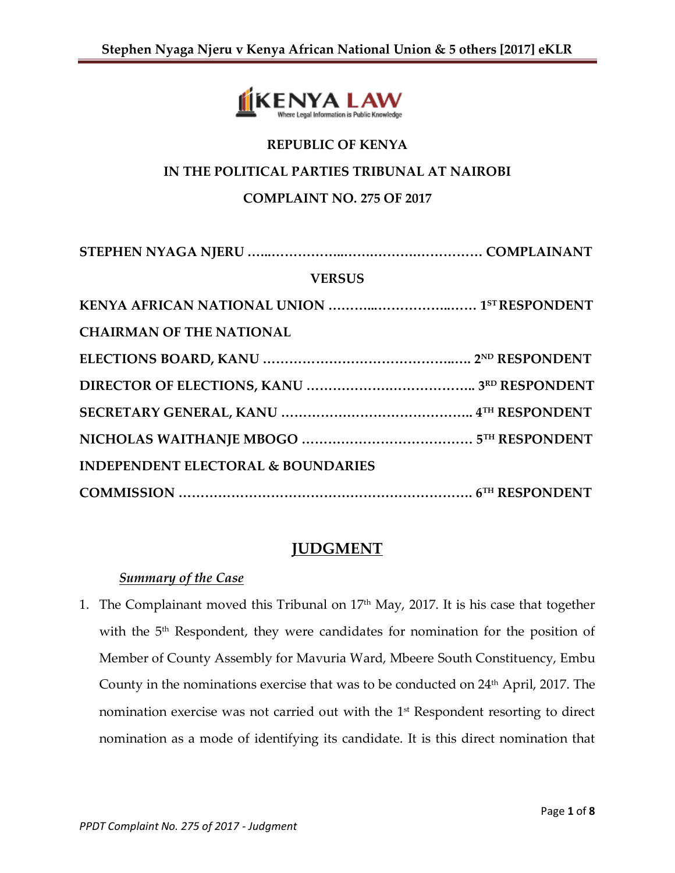

# **REPUBLIC OF KENYA**

### **IN THE POLITICAL PARTIES TRIBUNAL AT NAIROBI**

## **COMPLAINT NO. 275 OF 2017**

| <b>VERSUS</b>                                 |  |
|-----------------------------------------------|--|
|                                               |  |
| <b>CHAIRMAN OF THE NATIONAL</b>               |  |
|                                               |  |
|                                               |  |
|                                               |  |
|                                               |  |
| <b>INDEPENDENT ELECTORAL &amp; BOUNDARIES</b> |  |
|                                               |  |

# **JUDGMENT**

## *Summary of the Case*

1. The Complainant moved this Tribunal on 17<sup>th</sup> May, 2017. It is his case that together with the 5<sup>th</sup> Respondent, they were candidates for nomination for the position of Member of County Assembly for Mavuria Ward, Mbeere South Constituency, Embu County in the nominations exercise that was to be conducted on  $24<sup>th</sup>$  April, 2017. The nomination exercise was not carried out with the 1st Respondent resorting to direct nomination as a mode of identifying its candidate. It is this direct nomination that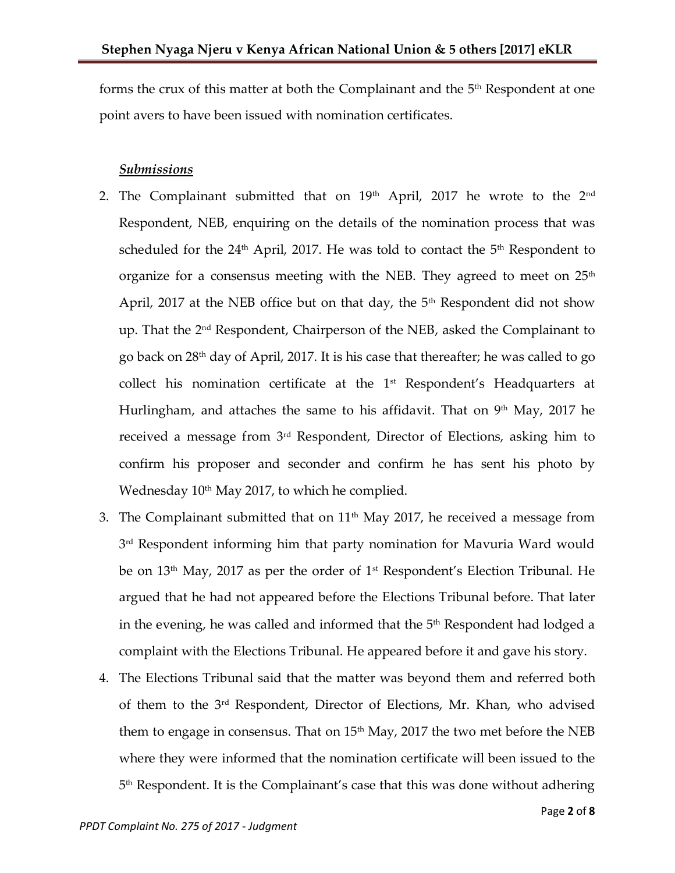forms the crux of this matter at both the Complainant and the 5<sup>th</sup> Respondent at one point avers to have been issued with nomination certificates.

#### *Submissions*

- 2. The Complainant submitted that on  $19<sup>th</sup>$  April, 2017 he wrote to the  $2<sup>nd</sup>$ Respondent, NEB, enquiring on the details of the nomination process that was scheduled for the  $24<sup>th</sup>$  April, 2017. He was told to contact the  $5<sup>th</sup>$  Respondent to organize for a consensus meeting with the NEB. They agreed to meet on  $25<sup>th</sup>$ April, 2017 at the NEB office but on that day, the  $5<sup>th</sup>$  Respondent did not show up. That the 2<sup>nd</sup> Respondent, Chairperson of the NEB, asked the Complainant to go back on 28th day of April, 2017. It is his case that thereafter; he was called to go collect his nomination certificate at the  $1<sup>st</sup>$  Respondent's Headquarters at Hurlingham, and attaches the same to his affidavit. That on  $9<sup>th</sup>$  May, 2017 he received a message from 3rd Respondent, Director of Elections, asking him to confirm his proposer and seconder and confirm he has sent his photo by Wednesday 10<sup>th</sup> May 2017, to which he complied.
- 3. The Complainant submitted that on  $11<sup>th</sup>$  May 2017, he received a message from 3 rd Respondent informing him that party nomination for Mavuria Ward would be on 13th May, 2017 as per the order of 1st Respondent's Election Tribunal. He argued that he had not appeared before the Elections Tribunal before. That later in the evening, he was called and informed that the  $5^{\rm th}$  Respondent had lodged a  $\,$ complaint with the Elections Tribunal. He appeared before it and gave his story.
- 4. The Elections Tribunal said that the matter was beyond them and referred both of them to the 3rd Respondent, Director of Elections, Mr. Khan, who advised them to engage in consensus. That on 15<sup>th</sup> May, 2017 the two met before the NEB where they were informed that the nomination certificate will been issued to the 5 th Respondent. It is the Complainant's case that this was done without adhering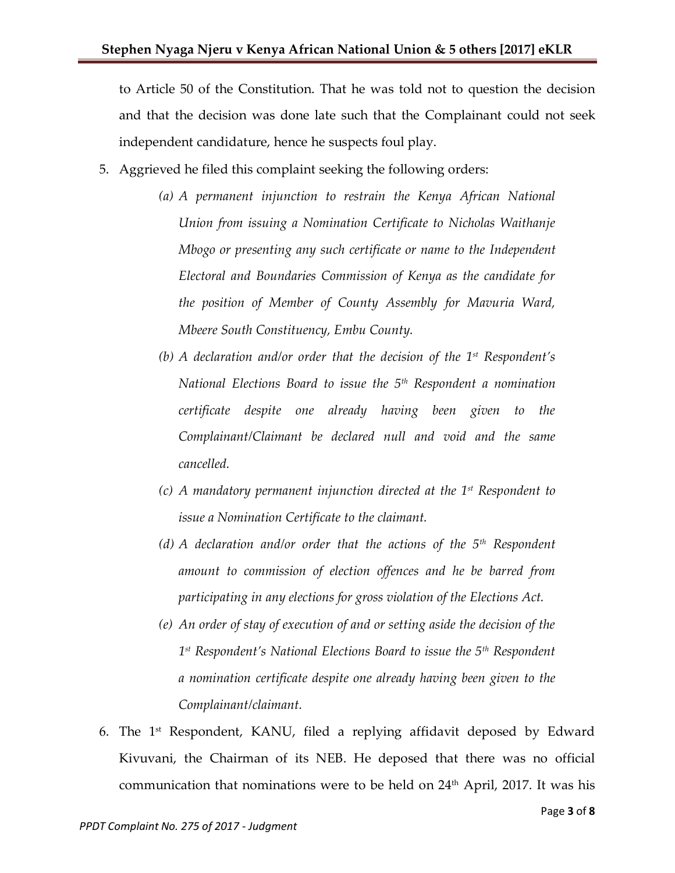to Article 50 of the Constitution. That he was told not to question the decision and that the decision was done late such that the Complainant could not seek independent candidature, hence he suspects foul play.

- 5. Aggrieved he filed this complaint seeking the following orders:
	- *(a) A permanent injunction to restrain the Kenya African National Union from issuing a Nomination Certificate to Nicholas Waithanje Mbogo or presenting any such certificate or name to the Independent Electoral and Boundaries Commission of Kenya as the candidate for the position of Member of County Assembly for Mavuria Ward, Mbeere South Constituency, Embu County.*
	- *(b) A declaration and/or order that the decision of the 1st Respondent's National Elections Board to issue the 5th Respondent a nomination certificate despite one already having been given to the Complainant/Claimant be declared null and void and the same cancelled.*
	- *(c) A mandatory permanent injunction directed at the 1st Respondent to issue a Nomination Certificate to the claimant.*
	- *(d) A declaration and/or order that the actions of the 5th Respondent amount to commission of election offences and he be barred from participating in any elections for gross violation of the Elections Act.*
	- *(e) An order of stay of execution of and or setting aside the decision of the 1 st Respondent's National Elections Board to issue the 5th Respondent a nomination certificate despite one already having been given to the Complainant/claimant.*
- 6. The 1 st Respondent, KANU, filed a replying affidavit deposed by Edward Kivuvani, the Chairman of its NEB. He deposed that there was no official communication that nominations were to be held on  $24<sup>th</sup>$  April, 2017. It was his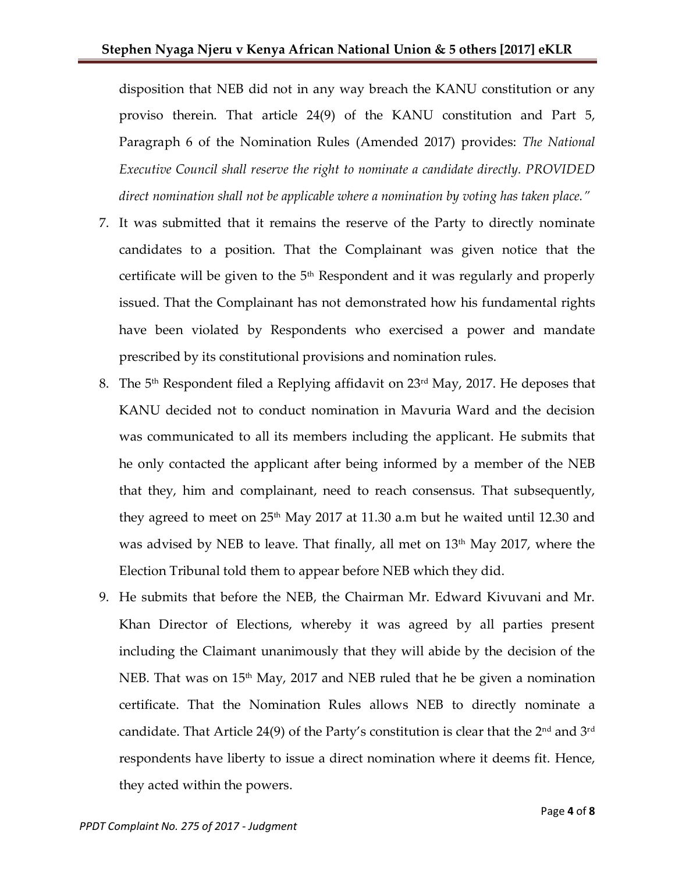disposition that NEB did not in any way breach the KANU constitution or any proviso therein. That article 24(9) of the KANU constitution and Part 5, Paragraph 6 of the Nomination Rules (Amended 2017) provides: *The National Executive Council shall reserve the right to nominate a candidate directly. PROVIDED direct nomination shall not be applicable where a nomination by voting has taken place."*

- 7. It was submitted that it remains the reserve of the Party to directly nominate candidates to a position. That the Complainant was given notice that the certificate will be given to the  $5<sup>th</sup>$  Respondent and it was regularly and properly issued. That the Complainant has not demonstrated how his fundamental rights have been violated by Respondents who exercised a power and mandate prescribed by its constitutional provisions and nomination rules.
- 8. The 5<sup>th</sup> Respondent filed a Replying affidavit on 23<sup>rd</sup> May, 2017. He deposes that KANU decided not to conduct nomination in Mavuria Ward and the decision was communicated to all its members including the applicant. He submits that he only contacted the applicant after being informed by a member of the NEB that they, him and complainant, need to reach consensus. That subsequently, they agreed to meet on  $25<sup>th</sup>$  May 2017 at 11.30 a.m but he waited until 12.30 and was advised by NEB to leave. That finally, all met on  $13<sup>th</sup>$  May 2017, where the Election Tribunal told them to appear before NEB which they did.
- 9. He submits that before the NEB, the Chairman Mr. Edward Kivuvani and Mr. Khan Director of Elections, whereby it was agreed by all parties present including the Claimant unanimously that they will abide by the decision of the NEB. That was on  $15<sup>th</sup>$  May, 2017 and NEB ruled that he be given a nomination certificate. That the Nomination Rules allows NEB to directly nominate a candidate. That Article 24(9) of the Party's constitution is clear that the  $2<sup>nd</sup>$  and  $3<sup>rd</sup>$ respondents have liberty to issue a direct nomination where it deems fit. Hence, they acted within the powers.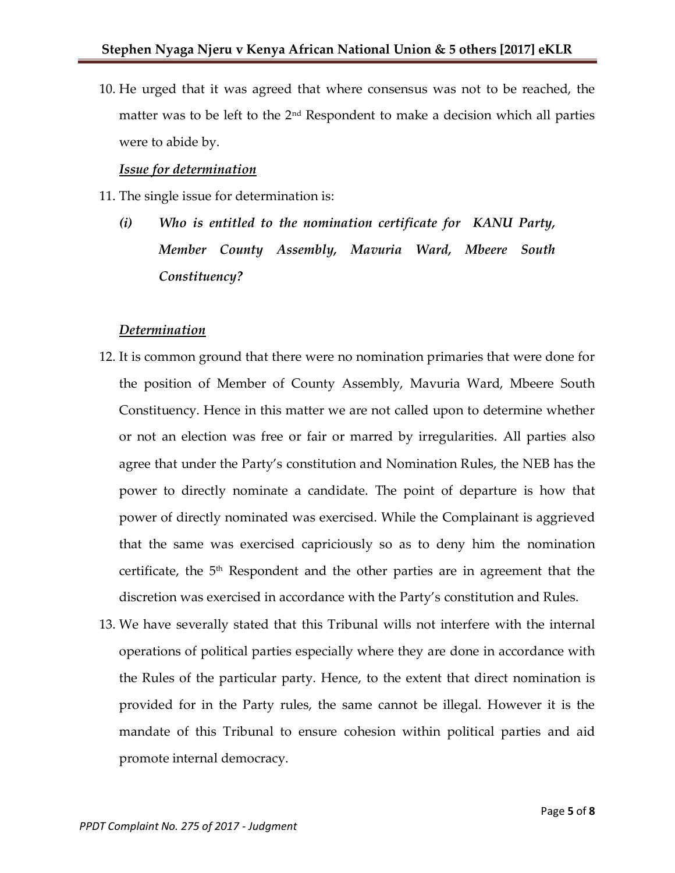10. He urged that it was agreed that where consensus was not to be reached, the matter was to be left to the  $2<sup>nd</sup>$  Respondent to make a decision which all parties were to abide by.

#### *Issue for determination*

- 11. The single issue for determination is:
	- *(i) Who is entitled to the nomination certificate for KANU Party, Member County Assembly, Mavuria Ward, Mbeere South Constituency?*

#### *Determination*

- 12. It is common ground that there were no nomination primaries that were done for the position of Member of County Assembly, Mavuria Ward, Mbeere South Constituency. Hence in this matter we are not called upon to determine whether or not an election was free or fair or marred by irregularities. All parties also agree that under the Party's constitution and Nomination Rules, the NEB has the power to directly nominate a candidate. The point of departure is how that power of directly nominated was exercised. While the Complainant is aggrieved that the same was exercised capriciously so as to deny him the nomination certificate, the 5<sup>th</sup> Respondent and the other parties are in agreement that the discretion was exercised in accordance with the Party's constitution and Rules.
- 13. We have severally stated that this Tribunal wills not interfere with the internal operations of political parties especially where they are done in accordance with the Rules of the particular party. Hence, to the extent that direct nomination is provided for in the Party rules, the same cannot be illegal. However it is the mandate of this Tribunal to ensure cohesion within political parties and aid promote internal democracy.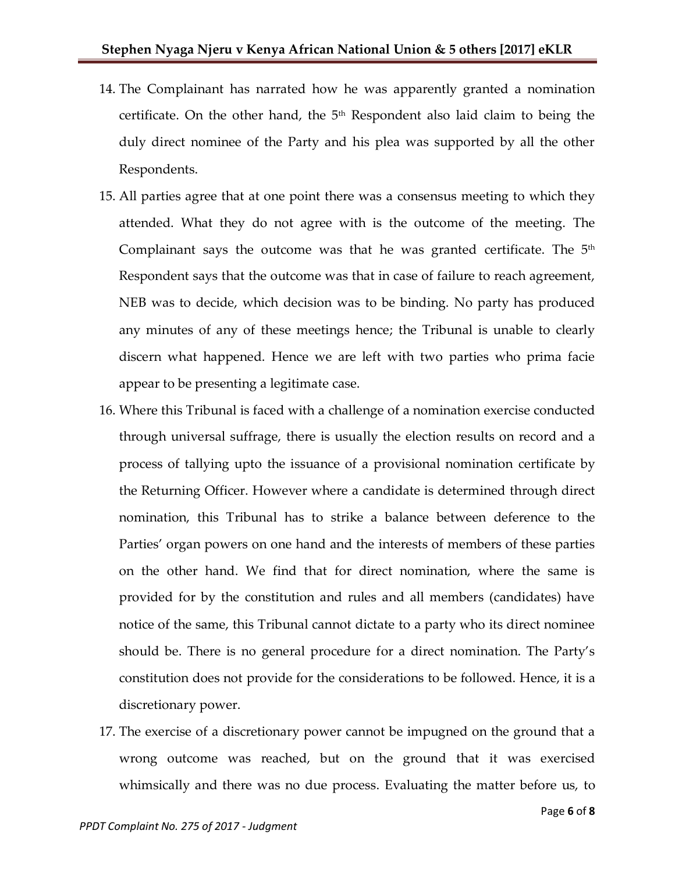- 14. The Complainant has narrated how he was apparently granted a nomination certificate. On the other hand, the  $5<sup>th</sup>$  Respondent also laid claim to being the duly direct nominee of the Party and his plea was supported by all the other Respondents.
- 15. All parties agree that at one point there was a consensus meeting to which they attended. What they do not agree with is the outcome of the meeting. The Complainant says the outcome was that he was granted certificate. The  $5^{\text{th}}$ Respondent says that the outcome was that in case of failure to reach agreement, NEB was to decide, which decision was to be binding. No party has produced any minutes of any of these meetings hence; the Tribunal is unable to clearly discern what happened. Hence we are left with two parties who prima facie appear to be presenting a legitimate case.
- 16. Where this Tribunal is faced with a challenge of a nomination exercise conducted through universal suffrage, there is usually the election results on record and a process of tallying upto the issuance of a provisional nomination certificate by the Returning Officer. However where a candidate is determined through direct nomination, this Tribunal has to strike a balance between deference to the Parties' organ powers on one hand and the interests of members of these parties on the other hand. We find that for direct nomination, where the same is provided for by the constitution and rules and all members (candidates) have notice of the same, this Tribunal cannot dictate to a party who its direct nominee should be. There is no general procedure for a direct nomination. The Party's constitution does not provide for the considerations to be followed. Hence, it is a discretionary power.
- 17. The exercise of a discretionary power cannot be impugned on the ground that a wrong outcome was reached, but on the ground that it was exercised whimsically and there was no due process. Evaluating the matter before us, to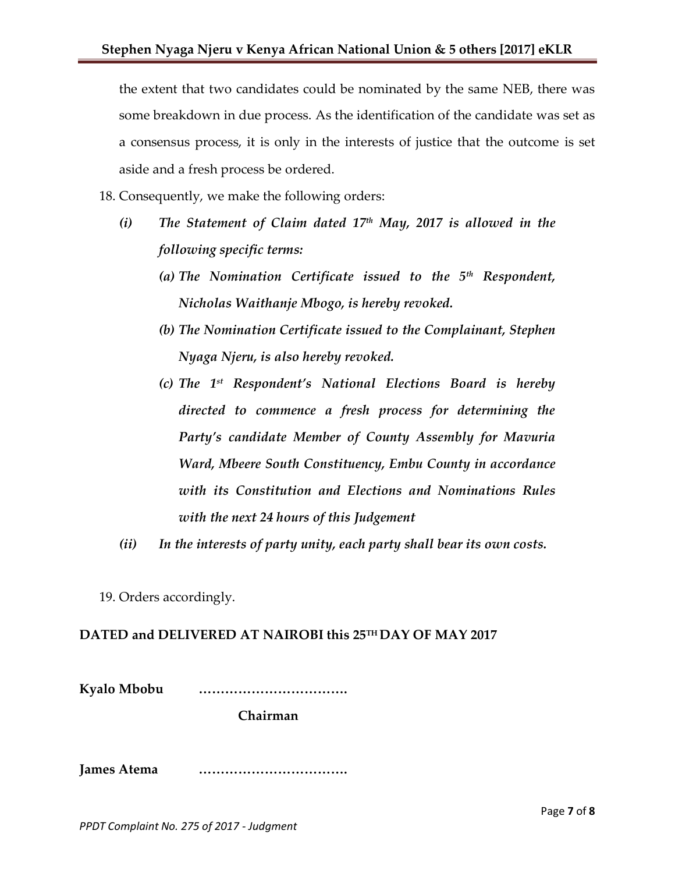the extent that two candidates could be nominated by the same NEB, there was some breakdown in due process. As the identification of the candidate was set as a consensus process, it is only in the interests of justice that the outcome is set aside and a fresh process be ordered.

18. Consequently, we make the following orders:

- *(i) The Statement of Claim dated 17th May, 2017 is allowed in the following specific terms:*
	- *(a) The Nomination Certificate issued to the 5th Respondent, Nicholas Waithanje Mbogo, is hereby revoked.*
	- *(b) The Nomination Certificate issued to the Complainant, Stephen Nyaga Njeru, is also hereby revoked.*
	- *(c) The 1st Respondent's National Elections Board is hereby directed to commence a fresh process for determining the Party's candidate Member of County Assembly for Mavuria Ward, Mbeere South Constituency, Embu County in accordance with its Constitution and Elections and Nominations Rules with the next 24 hours of this Judgement*
- *(ii) In the interests of party unity, each party shall bear its own costs.*
- 19. Orders accordingly.

#### **DATED and DELIVERED AT NAIROBI this 25TH DAY OF MAY 2017**

**Kyalo Mbobu …………………………….**

**Chairman**

**James Atema …………………………….**